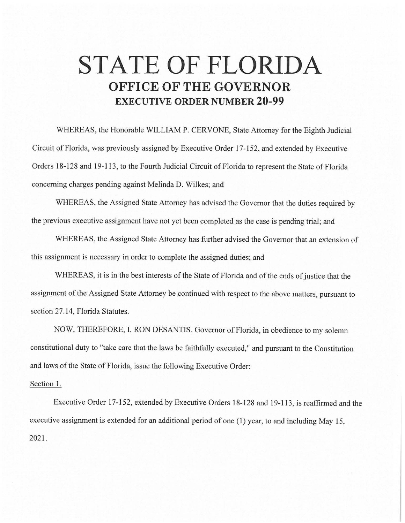## **STATE OF FLORIDA OFFICE OF THE GOVERNOR EXECUTIVE ORDER NUMBER 20-99**

WHEREAS, the Honorable WILLIAM P. CERVONE, State Attorney for the Eighth Judicial Circuit of Florida, was previously assigned by Executive Order 17-152, and extended by Executive Orders 18-128 and 19-113, to the Fourth Judicial Circuit of Florida to represent the State of Florida concerning charges pending against Melinda D. Wilkes; and

WHEREAS, the Assigned State Attorney has advised the Governor that the duties required by the previous executive assignment have not yet been completed as the case is pending trial; and

WHEREAS, the Assigned State Attorney has further advised the Governor that an extension of this assignment is necessary in order to complete the assigned duties; and

WHEREAS, it is in the best interests of the State of Florida and of the ends of justice that the assignment of the Assigned State Attorney be continued with respect to the above matters, pursuant to section 27.14, Florida Statutes.

NOW, THEREFORE, I, RON DESANTIS, Governor of Florida, in obedience to my solemn constitutional duty to "take care that the laws be faithfully executed," and pursuant to the Constitution and laws of the State of Florida, issue the following Executive Order:

## Section 1.

Executive Order 17-152, extended by Executive Orders 18-128 and 19-113, is reaffirmed and the executive assignment is extended for an additional period of one (1) year, to and including May 15, 2021.